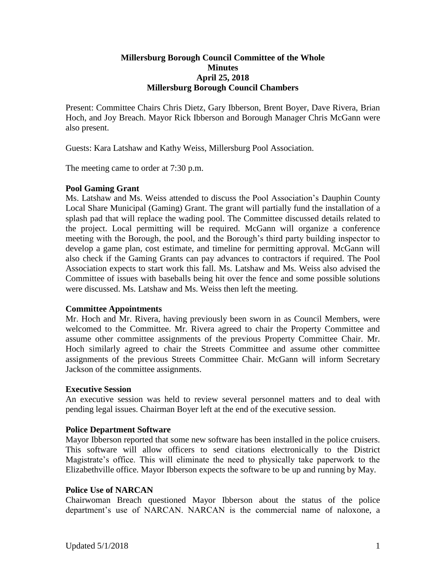## **Millersburg Borough Council Committee of the Whole Minutes April 25, 2018 Millersburg Borough Council Chambers**

Present: Committee Chairs Chris Dietz, Gary Ibberson, Brent Boyer, Dave Rivera, Brian Hoch, and Joy Breach. Mayor Rick Ibberson and Borough Manager Chris McGann were also present.

Guests: Kara Latshaw and Kathy Weiss, Millersburg Pool Association.

The meeting came to order at 7:30 p.m.

# **Pool Gaming Grant**

Ms. Latshaw and Ms. Weiss attended to discuss the Pool Association's Dauphin County Local Share Municipal (Gaming) Grant. The grant will partially fund the installation of a splash pad that will replace the wading pool. The Committee discussed details related to the project. Local permitting will be required. McGann will organize a conference meeting with the Borough, the pool, and the Borough's third party building inspector to develop a game plan, cost estimate, and timeline for permitting approval. McGann will also check if the Gaming Grants can pay advances to contractors if required. The Pool Association expects to start work this fall. Ms. Latshaw and Ms. Weiss also advised the Committee of issues with baseballs being hit over the fence and some possible solutions were discussed. Ms. Latshaw and Ms. Weiss then left the meeting.

## **Committee Appointments**

Mr. Hoch and Mr. Rivera, having previously been sworn in as Council Members, were welcomed to the Committee. Mr. Rivera agreed to chair the Property Committee and assume other committee assignments of the previous Property Committee Chair. Mr. Hoch similarly agreed to chair the Streets Committee and assume other committee assignments of the previous Streets Committee Chair. McGann will inform Secretary Jackson of the committee assignments.

## **Executive Session**

An executive session was held to review several personnel matters and to deal with pending legal issues. Chairman Boyer left at the end of the executive session.

## **Police Department Software**

Mayor Ibberson reported that some new software has been installed in the police cruisers. This software will allow officers to send citations electronically to the District Magistrate's office. This will eliminate the need to physically take paperwork to the Elizabethville office. Mayor Ibberson expects the software to be up and running by May.

## **Police Use of NARCAN**

Chairwoman Breach questioned Mayor Ibberson about the status of the police department's use of NARCAN. NARCAN is the commercial name of naloxone, a